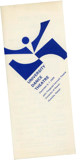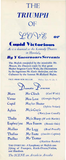# THE TRIUMPH OF





As it is daunced at the Kennedy Theatre in Honoluln

**By Y Governours Servants** 

The Mufick compofed by the inimitable Mr. Mozart, the Daunces made by that great Mafter Seignior Carlo Wolz, the Decorations by the ingenious Mr. Garie Anderfon, and the Coftumes by the famous Mr.Richard Mafon.

**FACE AMAM NON BELLUM** 

Wallus, Epis, 4, Lib, II.

| $J$ ramatio | ersonae |
|-------------|---------|

Mars Venus Cupid

Aglaia

Thalia Euphro/yne

Mallus Thallus Phallus

Mr Clinch  $(Carl \text{ } Wolz)$ (Georgia Engel) Mrs Love Ma/ter Shuter (Sylvia Nolan) Mi/s Cro/s (Mary-Jean Cowell) Mi/s Sharp (Worth Martin) Mrs Fearon (Bonnie Oda) Mr Legg (Brad Powell) Mr Foote (Emelito Capina) Mr Trotter (Matthew Raszka)

THE OVERTURE: A Symphony of Mufick confifting of Trumpets, Kettle-Drums, Violins, and Hautbois.

The SCENE an Arcadein Arcadia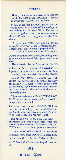# Argument

Beauty not yet having been born into the World, the GRACES and CAVALIERS daunce an awkward GAVOTTE at dawn.

While an fenfuos LARGO plaies, the Sun rifes to reveal VENUS, beautiful & modeft in her undrefs, in a curious Niche. The GRACES Force the oggling CAVALIERS to tu rn away as they finifh the facred myfteries of the Boudiour.

In gratitude VENUS inftructs the GRACES in an ANDANTINO; the CAVALIERS feek to obferve more clofely but are pufhed afide.

VENUS daunces an ADAGIO pas de\_

quatre with thee GRACES who, becoming hawty at their new-found fkill, fpurn the CAVA-LIERS.

MARS, aroufed by the Pride of the GRACES,

makes an Entry to a Forceful GIGUE. He inftructs the CAVALIERS in daunce & they, vaunting their new Arte, fpurn the GRACES.

In a PANTOMIME the GR'CES joyn with VENUS, the CAVALIERS with MARS; prefently MARS and VENUS meet to conFer about a Peace. Becoming lefs Formal and more Amourous, they retire to the curious Niche to be difcreetly fecret.

The GRACES daunce a GAVOTTE GRACI-EUSE before the CAVALIERS, as 'twere to Challenge them to a Battel.

The CAVALIERS daunce a PASSEPIED in re -turn to the Challenge of the GRACES, and the fix of both fexes become embroyl'd in a fwift and confufing fee-faw fight.

But MARS & VENUS foon prefent their off fpring CUP D, who comes Forth from the curious Niche to daunce fo fweet a LARGH-**ETTO**, that Love foon fpreads throughout

In a GAVOTTE JOYEUSE the intire Company fhew their Defire to embrace Love rather than War; the final Tableau celebrates Y<sup>e</sup> Triumph of Love and Cupid Victorious.

# Finis

# Intermiffion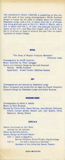THE UNIVERSITY DANCE THEATRE is presenting on this concert the work of four young choreographers: Renee Bushnell known in Hawaii for her work in creative dance for children; Stephanie Lynge, with a B.A. in dance from the U. of Illinois, now doing graduate work at the U.H.; Worth V. Martin, with a B.A. in dance from the U. of Utah, now graduate assistant in dance at the U.H.; and Mary-Jean Cowell, with an M.A. from the U. of Illinois, on leave of absence this year from her teaching duties at Vassar College.

## **RITUAL**

"The Sleep of Reason Produces Monsters" Choreography by Renee Bushnell Music Concrete by Peter Coraggio Francisco Goya Scenic and Costume Design by Kenneth Bushnell Woman Renee Bushnell Apparitions Ernest Pruden, Matthew Raszka

#### **CH'I**

Choreographed and danced by Stephanie Lynge Music composed and performed (on tape) by Powell Shepherd Costume Design by Stephanie Lynge and Audra Brunner

#### **UNSQUARE DANCE**

Choreography by Worth V. Martin Music by Dave Brubeck Danced by Cherie Arita, Devon Darrow, Jana Devine, Chrisanta Hilario, Cyndee lannce, Noreen Lam, Gari Waters, Vimla Watumull, Wendy Willers

#### **EXITS** I & II

Dance structured by Carl Wolz, realized by the dancers Music by Kenneth Gaburo Scenic Design by Richard Mason EXIT I: Black is Beautiful Norman Williams, Ernest Pruden, Kay Brundage EXIT II:  $"$ ... not with a bang but a whimper." Members of the University Dance Theatre

#### **intermiss i on**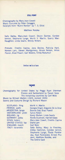## **STILL POINT**

Choreography by Mary-Jean Cowell Music Concrete by Peter Coraggio Excerpts from "Burnt Nortoh" by T. S. Elliot

## Matthew Raszka

Sally Bailey, Mary-Jean Cowell, Devon Darrow, Cyndee lannce, Stephanie Lynge, Worth V. Martin, Sperry Mac-Naughton, Linda Searls, Wendy Willers

Prelude: Emelito Capina, Jana Devine, Patricia Hart, Noreen Lam, Steven Montgomery, Bruce Nelson, Amos Pasion, Brad Powell, Gari Waters, Vimla Watumull

#### **intermi ss ion**

## **FAfADE**

Choreography for United States by Peggy Ryan Sherman France and Switzerland by Yasuki Sasa The remaining countries by Carl Wolz Music by William Walton (1923, revised 1935) Scenic and Costume Design by Richard Mason

SCOTLAND: fling FRANCE: waltz ARGENTINA: tango SWITZERLAND: yodel IRELAND: jig GERMANY: polka SPAIN: bolero UNITED STATES: tap ENGLAND: march ITALY: tarantella

Worth V. Martin Georgia Engel, Edgardo De Ia Cruz Bonnie Oda, Brad Powell Sylvia Nolan Karen Mullen, Linda Searls Renée Bushnell, Harriet Glass Mary-Jean Cowell, Emelito Capina Diane Lam Carl Wolz Sally Bailey, Mary Jo Freshley, Dibba Hamilton, Cyndee lannce, Stephanie Lynge, Paula Pankiwska, Kost Pankiwskij, Ernest Prudent, Matthew Raszka, and The Entire Cast